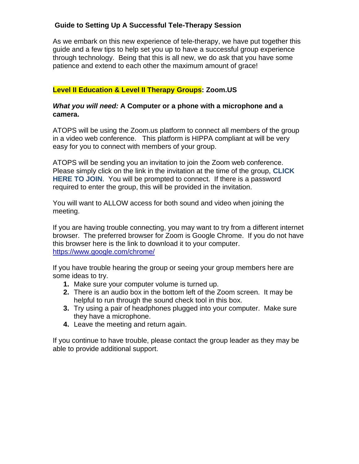# **Guide to Setting Up A Successful Tele-Therapy Session**

As we embark on this new experience of tele-therapy, we have put together this guide and a few tips to help set you up to have a successful group experience through technology. Being that this is all new, we do ask that you have some patience and extend to each other the maximum amount of grace!

# **Level II Education & Level II Therapy Groups: Zoom.US**

#### *What you will need:* **A Computer or a phone with a microphone and a camera.**

ATOPS will be using the Zoom.us platform to connect all members of the group in a video web conference. This platform is HIPPA compliant at will be very easy for you to connect with members of your group.

ATOPS will be sending you an invitation to join the Zoom web conference. Please simply click on the link in the invitation at the time of the group, **CLICK HERE TO JOIN**. You will be prompted to connect. If there is a password required to enter the group, this will be provided in the invitation.

You will want to ALLOW access for both sound and video when joining the meeting.

If you are having trouble connecting, you may want to try from a different internet browser. The preferred browser for Zoom is Google Chrome. If you do not have this browser here is the link to download it to your computer. <https://www.google.com/chrome/>

If you have trouble hearing the group or seeing your group members here are some ideas to try.

- **1.** Make sure your computer volume is turned up.
- **2.** There is an audio box in the bottom left of the Zoom screen. It may be helpful to run through the sound check tool in this box.
- **3.** Try using a pair of headphones plugged into your computer. Make sure they have a microphone.
- **4.** Leave the meeting and return again.

If you continue to have trouble, please contact the group leader as they may be able to provide additional support.